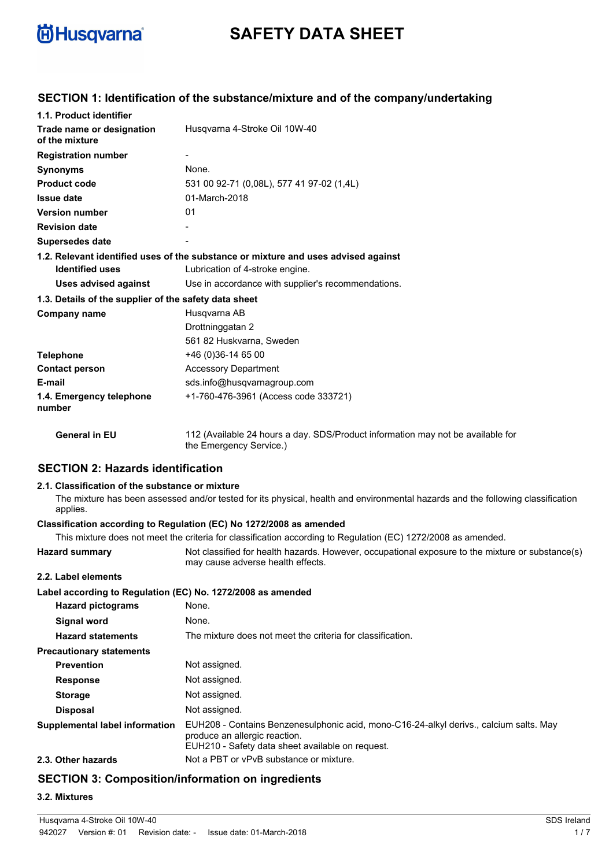

# **SAFETY DATA SHEET**

## **SECTION 1: Identification of the substance/mixture and of the company/undertaking**

| 1.1. Product identifier                               |                                                                                                            |
|-------------------------------------------------------|------------------------------------------------------------------------------------------------------------|
| Trade name or designation<br>of the mixture           | Husgvarna 4-Stroke Oil 10W-40                                                                              |
| <b>Registration number</b>                            |                                                                                                            |
| <b>Synonyms</b>                                       | None.                                                                                                      |
| <b>Product code</b>                                   | 531 00 92-71 (0.08L), 577 41 97-02 (1.4L)                                                                  |
| <b>Issue date</b>                                     | 01-March-2018                                                                                              |
| <b>Version number</b>                                 | 01                                                                                                         |
| <b>Revision date</b>                                  |                                                                                                            |
| <b>Supersedes date</b>                                |                                                                                                            |
|                                                       | 1.2. Relevant identified uses of the substance or mixture and uses advised against                         |
| <b>Identified uses</b>                                | Lubrication of 4-stroke engine.                                                                            |
| <b>Uses advised against</b>                           | Use in accordance with supplier's recommendations.                                                         |
| 1.3. Details of the supplier of the safety data sheet |                                                                                                            |
| Company name                                          | Husqvarna AB                                                                                               |
|                                                       | Drottninggatan 2                                                                                           |
|                                                       | 561 82 Huskvarna, Sweden                                                                                   |
| <b>Telephone</b>                                      | +46 (0) 36-14 65 00                                                                                        |
| <b>Contact person</b>                                 | <b>Accessory Department</b>                                                                                |
| E-mail                                                | sds.info@husqvarnagroup.com                                                                                |
| 1.4. Emergency telephone<br>number                    | +1-760-476-3961 (Access code 333721)                                                                       |
| <b>General in EU</b>                                  | 112 (Available 24 hours a day. SDS/Product information may not be available for<br>the Emergency Service.) |

## **SECTION 2: Hazards identification**

#### **2.1. Classification of the substance or mixture**

The mixture has been assessed and/or tested for its physical, health and environmental hazards and the following classification applies.

## **Classification according to Regulation (EC) No 1272/2008 as amended**

|                                                             | This mixture does not meet the criteria for classification according to Regulation (EC) 1272/2008 as amended.                                                               |
|-------------------------------------------------------------|-----------------------------------------------------------------------------------------------------------------------------------------------------------------------------|
| <b>Hazard summary</b>                                       | Not classified for health hazards. However, occupational exposure to the mixture or substance(s)<br>may cause adverse health effects.                                       |
| 2.2. Label elements                                         |                                                                                                                                                                             |
| Label according to Regulation (EC) No. 1272/2008 as amended |                                                                                                                                                                             |
| <b>Hazard pictograms</b>                                    | None.                                                                                                                                                                       |
| Signal word                                                 | None.                                                                                                                                                                       |
| <b>Hazard statements</b>                                    | The mixture does not meet the criteria for classification.                                                                                                                  |
| <b>Precautionary statements</b>                             |                                                                                                                                                                             |
| <b>Prevention</b>                                           | Not assigned.                                                                                                                                                               |
| <b>Response</b>                                             | Not assigned.                                                                                                                                                               |
| <b>Storage</b>                                              | Not assigned.                                                                                                                                                               |
| <b>Disposal</b>                                             | Not assigned.                                                                                                                                                               |
| Supplemental label information                              | EUH208 - Contains Benzenesulphonic acid, mono-C16-24-alkyl derivs., calcium salts. May<br>produce an allergic reaction.<br>EUH210 - Safety data sheet available on request. |
| 2.3. Other hazards                                          | Not a PBT or vPvB substance or mixture.                                                                                                                                     |
|                                                             |                                                                                                                                                                             |

## **SECTION 3: Composition/information on ingredients**

#### **3.2. Mixtures**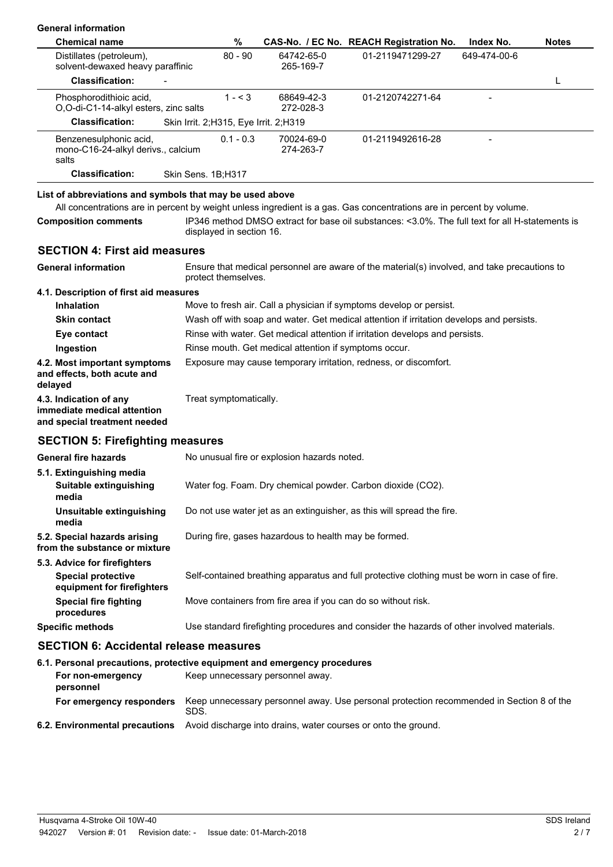| <b>General information</b>                                                                    |                                       |                                                               |                                                                                                                      |              |              |
|-----------------------------------------------------------------------------------------------|---------------------------------------|---------------------------------------------------------------|----------------------------------------------------------------------------------------------------------------------|--------------|--------------|
| <b>Chemical name</b>                                                                          | %                                     |                                                               | CAS-No. / EC No. REACH Registration No.                                                                              | Index No.    | <b>Notes</b> |
| Distillates (petroleum),<br>solvent-dewaxed heavy paraffinic                                  | $80 - 90$                             | 64742-65-0<br>265-169-7                                       | 01-2119471299-27                                                                                                     | 649-474-00-6 |              |
| <b>Classification:</b>                                                                        |                                       |                                                               |                                                                                                                      |              | L            |
| Phosphorodithioic acid,<br>O,O-di-C1-14-alkyl esters, zinc salts                              | $1 - 3$                               | 68649-42-3<br>272-028-3                                       | 01-2120742271-64                                                                                                     |              |              |
| <b>Classification:</b>                                                                        | Skin Irrit. 2;H315, Eye Irrit. 2;H319 |                                                               |                                                                                                                      |              |              |
| Benzenesulphonic acid,<br>mono-C16-24-alkyl derivs., calcium<br>salts                         | $0.1 - 0.3$                           | 70024-69-0<br>274-263-7                                       | 01-2119492616-28                                                                                                     |              |              |
| <b>Classification:</b>                                                                        | Skin Sens. 1B;H317                    |                                                               |                                                                                                                      |              |              |
| List of abbreviations and symbols that may be used above                                      |                                       |                                                               | All concentrations are in percent by weight unless ingredient is a gas. Gas concentrations are in percent by volume. |              |              |
| <b>Composition comments</b>                                                                   | displayed in section 16.              |                                                               | IP346 method DMSO extract for base oil substances: <3.0%. The full text for all H-statements is                      |              |              |
| <b>SECTION 4: First aid measures</b>                                                          |                                       |                                                               |                                                                                                                      |              |              |
| <b>General information</b>                                                                    | protect themselves.                   |                                                               | Ensure that medical personnel are aware of the material(s) involved, and take precautions to                         |              |              |
| 4.1. Description of first aid measures                                                        |                                       |                                                               |                                                                                                                      |              |              |
| <b>Inhalation</b>                                                                             |                                       |                                                               | Move to fresh air. Call a physician if symptoms develop or persist.                                                  |              |              |
| <b>Skin contact</b>                                                                           |                                       |                                                               | Wash off with soap and water. Get medical attention if irritation develops and persists.                             |              |              |
| Eye contact                                                                                   |                                       |                                                               | Rinse with water. Get medical attention if irritation develops and persists.                                         |              |              |
| Ingestion                                                                                     |                                       | Rinse mouth. Get medical attention if symptoms occur.         |                                                                                                                      |              |              |
| 4.2. Most important symptoms<br>and effects, both acute and<br>delayed                        |                                       |                                                               | Exposure may cause temporary irritation, redness, or discomfort.                                                     |              |              |
| 4.3. Indication of any<br>immediate medical attention<br>and special treatment needed         | Treat symptomatically.                |                                                               |                                                                                                                      |              |              |
| <b>SECTION 5: Firefighting measures</b>                                                       |                                       |                                                               |                                                                                                                      |              |              |
| <b>General fire hazards</b>                                                                   |                                       | No unusual fire or explosion hazards noted.                   |                                                                                                                      |              |              |
| 5.1. Extinguishing media<br>Suitable extinguishing<br>media                                   |                                       |                                                               | Water fog. Foam. Dry chemical powder. Carbon dioxide (CO2).                                                          |              |              |
| Unsuitable extinguishing<br>media                                                             |                                       |                                                               | Do not use water jet as an extinguisher, as this will spread the fire.                                               |              |              |
| 5.2. Special hazards arising<br>from the substance or mixture                                 |                                       | During fire, gases hazardous to health may be formed.         |                                                                                                                      |              |              |
| 5.3. Advice for firefighters<br><b>Special protective</b><br>equipment for firefighters       |                                       |                                                               | Self-contained breathing apparatus and full protective clothing must be worn in case of fire.                        |              |              |
| <b>Special fire fighting</b><br>procedures                                                    |                                       | Move containers from fire area if you can do so without risk. |                                                                                                                      |              |              |
| <b>Specific methods</b>                                                                       |                                       |                                                               | Use standard firefighting procedures and consider the hazards of other involved materials.                           |              |              |
| <b>SECTION 6: Accidental release measures</b>                                                 |                                       |                                                               |                                                                                                                      |              |              |
| 6.1. Personal precautions, protective equipment and emergency procedures<br>For non-emergency |                                       | Keep unnecessary personnel away.                              |                                                                                                                      |              |              |

| <b>For emergency responders</b> Keep unnecessary personnel away. Use personal protection recommended in Section 8 of the<br>SDS. |
|----------------------------------------------------------------------------------------------------------------------------------|
| <b>6.2. Environmental precautions</b> Avoid discharge into drains, water courses or onto the ground.                             |

**personnel**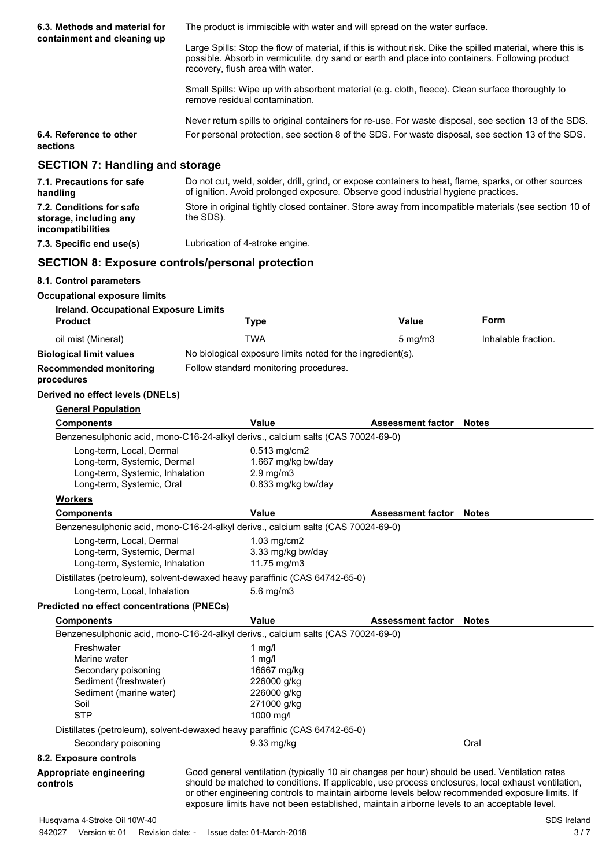| 6.3. Methods and material for                                                                                           |                                                                                                                                                                                                                                                   | The product is immiscible with water and will spread on the water surface.                                                                                                                 |                     |
|-------------------------------------------------------------------------------------------------------------------------|---------------------------------------------------------------------------------------------------------------------------------------------------------------------------------------------------------------------------------------------------|--------------------------------------------------------------------------------------------------------------------------------------------------------------------------------------------|---------------------|
| containment and cleaning up                                                                                             | Large Spills: Stop the flow of material, if this is without risk. Dike the spilled material, where this is<br>possible. Absorb in vermiculite, dry sand or earth and place into containers. Following product<br>recovery, flush area with water. |                                                                                                                                                                                            |                     |
|                                                                                                                         | remove residual contamination.                                                                                                                                                                                                                    | Small Spills: Wipe up with absorbent material (e.g. cloth, fleece). Clean surface thoroughly to                                                                                            |                     |
|                                                                                                                         |                                                                                                                                                                                                                                                   | Never return spills to original containers for re-use. For waste disposal, see section 13 of the SDS.                                                                                      |                     |
| 6.4. Reference to other<br>sections                                                                                     |                                                                                                                                                                                                                                                   | For personal protection, see section 8 of the SDS. For waste disposal, see section 13 of the SDS.                                                                                          |                     |
| <b>SECTION 7: Handling and storage</b>                                                                                  |                                                                                                                                                                                                                                                   |                                                                                                                                                                                            |                     |
| 7.1. Precautions for safe<br>handling                                                                                   |                                                                                                                                                                                                                                                   | Do not cut, weld, solder, drill, grind, or expose containers to heat, flame, sparks, or other sources<br>of ignition. Avoid prolonged exposure. Observe good industrial hygiene practices. |                     |
| 7.2. Conditions for safe<br>storage, including any<br>incompatibilities                                                 | Store in original tightly closed container. Store away from incompatible materials (see section 10 of<br>the SDS).                                                                                                                                |                                                                                                                                                                                            |                     |
| 7.3. Specific end use(s)                                                                                                | Lubrication of 4-stroke engine.                                                                                                                                                                                                                   |                                                                                                                                                                                            |                     |
| <b>SECTION 8: Exposure controls/personal protection</b>                                                                 |                                                                                                                                                                                                                                                   |                                                                                                                                                                                            |                     |
| 8.1. Control parameters                                                                                                 |                                                                                                                                                                                                                                                   |                                                                                                                                                                                            |                     |
| <b>Occupational exposure limits</b>                                                                                     |                                                                                                                                                                                                                                                   |                                                                                                                                                                                            |                     |
| Ireland. Occupational Exposure Limits                                                                                   |                                                                                                                                                                                                                                                   |                                                                                                                                                                                            |                     |
| <b>Product</b>                                                                                                          | <b>Type</b>                                                                                                                                                                                                                                       | <b>Value</b>                                                                                                                                                                               | Form                |
| oil mist (Mineral)                                                                                                      | <b>TWA</b>                                                                                                                                                                                                                                        | $5$ mg/m $3$                                                                                                                                                                               | Inhalable fraction. |
| <b>Biological limit values</b>                                                                                          | No biological exposure limits noted for the ingredient(s).                                                                                                                                                                                        |                                                                                                                                                                                            |                     |
| <b>Recommended monitoring</b><br>procedures                                                                             | Follow standard monitoring procedures.                                                                                                                                                                                                            |                                                                                                                                                                                            |                     |
| Derived no effect levels (DNELs)                                                                                        |                                                                                                                                                                                                                                                   |                                                                                                                                                                                            |                     |
| <b>General Population</b>                                                                                               |                                                                                                                                                                                                                                                   |                                                                                                                                                                                            |                     |
| <b>Components</b>                                                                                                       | Value                                                                                                                                                                                                                                             | <b>Assessment factor</b>                                                                                                                                                                   | Notes               |
|                                                                                                                         | Benzenesulphonic acid, mono-C16-24-alkyl derivs., calcium salts (CAS 70024-69-0)                                                                                                                                                                  |                                                                                                                                                                                            |                     |
| Long-term, Local, Dermal<br>Long-term, Systemic, Dermal<br>Long-term, Systemic, Inhalation<br>Long-term, Systemic, Oral | 0.513 mg/cm2<br>1.667 mg/kg bw/day<br>$2.9$ mg/m $3$<br>0.833 mg/kg bw/day                                                                                                                                                                        |                                                                                                                                                                                            |                     |
| <b>Workers</b>                                                                                                          |                                                                                                                                                                                                                                                   |                                                                                                                                                                                            |                     |
| <b>Components</b>                                                                                                       | Value                                                                                                                                                                                                                                             | <b>Assessment factor Notes</b>                                                                                                                                                             |                     |
|                                                                                                                         | Benzenesulphonic acid, mono-C16-24-alkyl derivs., calcium salts (CAS 70024-69-0)                                                                                                                                                                  |                                                                                                                                                                                            |                     |
| Long-term, Local, Dermal<br>Long-term, Systemic, Dermal<br>Long-term, Systemic, Inhalation                              | 1.03 mg/cm2<br>3.33 mg/kg bw/day<br>11.75 mg/m3                                                                                                                                                                                                   |                                                                                                                                                                                            |                     |

Distillates (petroleum), solvent-dewaxed heavy paraffinic (CAS 64742-65-0)

Long-term, Local, Inhalation 5.6 mg/m3

## **Predicted no effect concentrations (PNECs)**

| <b>Components</b>                   | Value                                                                                                                                                                                                                                                                                                                                                                                                  | <b>Assessment factor</b> | Notes |
|-------------------------------------|--------------------------------------------------------------------------------------------------------------------------------------------------------------------------------------------------------------------------------------------------------------------------------------------------------------------------------------------------------------------------------------------------------|--------------------------|-------|
|                                     | Benzenesulphonic acid, mono-C16-24-alkyl derivs., calcium salts (CAS 70024-69-0)                                                                                                                                                                                                                                                                                                                       |                          |       |
| Freshwater                          | 1 $mq/l$                                                                                                                                                                                                                                                                                                                                                                                               |                          |       |
| Marine water                        | 1 $mq/l$                                                                                                                                                                                                                                                                                                                                                                                               |                          |       |
| Secondary poisoning                 | 16667 mg/kg                                                                                                                                                                                                                                                                                                                                                                                            |                          |       |
| Sediment (freshwater)               | 226000 g/kg                                                                                                                                                                                                                                                                                                                                                                                            |                          |       |
| Sediment (marine water)             | 226000 g/kg                                                                                                                                                                                                                                                                                                                                                                                            |                          |       |
| Soil                                | 271000 g/kg                                                                                                                                                                                                                                                                                                                                                                                            |                          |       |
| <b>STP</b>                          | 1000 mg/l                                                                                                                                                                                                                                                                                                                                                                                              |                          |       |
|                                     | Distillates (petroleum), solvent-dewaxed heavy paraffinic (CAS 64742-65-0)                                                                                                                                                                                                                                                                                                                             |                          |       |
| Secondary poisoning                 | $9.33 \text{ mg/kg}$                                                                                                                                                                                                                                                                                                                                                                                   |                          | Oral  |
| 8.2. Exposure controls              |                                                                                                                                                                                                                                                                                                                                                                                                        |                          |       |
| Appropriate engineering<br>controls | Good general ventilation (typically 10 air changes per hour) should be used. Ventilation rates<br>should be matched to conditions. If applicable, use process enclosures, local exhaust ventilation,<br>or other engineering controls to maintain airborne levels below recommended exposure limits. If<br>exposure limits have not been established, maintain airborne levels to an acceptable level. |                          |       |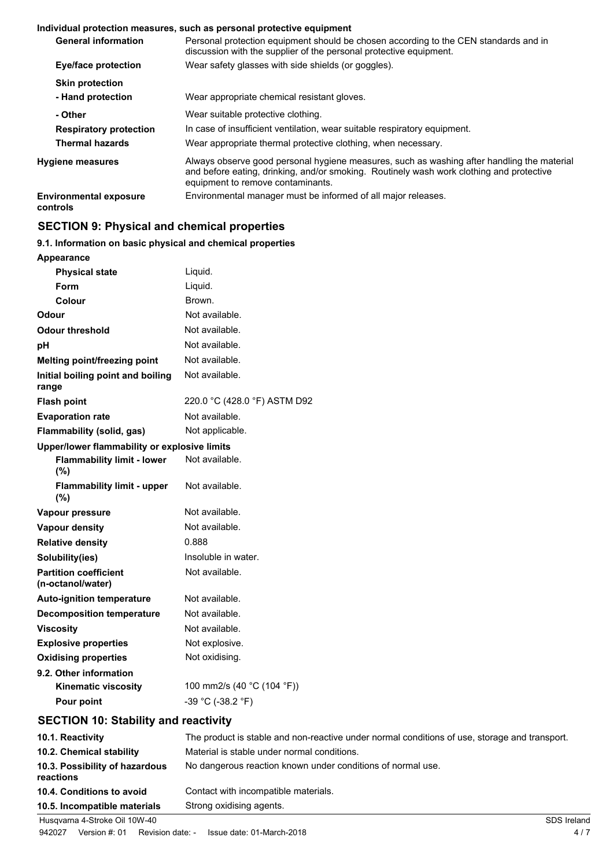#### **Individual protection measures, such as personal protective equipment**

| <b>General information</b>                | Personal protection equipment should be chosen according to the CEN standards and in<br>discussion with the supplier of the personal protective equipment.                                                                  |
|-------------------------------------------|-----------------------------------------------------------------------------------------------------------------------------------------------------------------------------------------------------------------------------|
| Eye/face protection                       | Wear safety glasses with side shields (or goggles).                                                                                                                                                                         |
| <b>Skin protection</b>                    |                                                                                                                                                                                                                             |
| - Hand protection                         | Wear appropriate chemical resistant gloves.                                                                                                                                                                                 |
| - Other                                   | Wear suitable protective clothing.                                                                                                                                                                                          |
| <b>Respiratory protection</b>             | In case of insufficient ventilation, wear suitable respiratory equipment.                                                                                                                                                   |
| <b>Thermal hazards</b>                    | Wear appropriate thermal protective clothing, when necessary.                                                                                                                                                               |
| <b>Hygiene measures</b>                   | Always observe good personal hygiene measures, such as washing after handling the material<br>and before eating, drinking, and/or smoking. Routinely wash work clothing and protective<br>equipment to remove contaminants. |
| <b>Environmental exposure</b><br>controls | Environmental manager must be informed of all major releases.                                                                                                                                                               |

# **SECTION 9: Physical and chemical properties**

#### **9.1. Information on basic physical and chemical properties**

| <b>Appearance</b>                                 |                                                                                               |
|---------------------------------------------------|-----------------------------------------------------------------------------------------------|
| <b>Physical state</b>                             | Liquid.                                                                                       |
| <b>Form</b>                                       | Liquid.                                                                                       |
| Colour                                            | Brown.                                                                                        |
| Odour                                             | Not available.                                                                                |
| <b>Odour threshold</b>                            | Not available.                                                                                |
| pH                                                | Not available.                                                                                |
| <b>Melting point/freezing point</b>               | Not available.                                                                                |
| Initial boiling point and boiling<br>range        | Not available.                                                                                |
| <b>Flash point</b>                                | 220.0 °C (428.0 °F) ASTM D92                                                                  |
| <b>Evaporation rate</b>                           | Not available.                                                                                |
| <b>Flammability (solid, gas)</b>                  | Not applicable.                                                                               |
| Upper/lower flammability or explosive limits      |                                                                                               |
| <b>Flammability limit - lower</b><br>$(\%)$       | Not available.                                                                                |
| <b>Flammability limit - upper</b><br>(%)          | Not available.                                                                                |
| Vapour pressure                                   | Not available.                                                                                |
| <b>Vapour density</b>                             | Not available.                                                                                |
| <b>Relative density</b>                           | 0.888                                                                                         |
| Solubility(ies)                                   | Insoluble in water.                                                                           |
| <b>Partition coefficient</b><br>(n-octanol/water) | Not available.                                                                                |
| <b>Auto-ignition temperature</b>                  | Not available.                                                                                |
| <b>Decomposition temperature</b>                  | Not available.                                                                                |
| <b>Viscosity</b>                                  | Not available.                                                                                |
| <b>Explosive properties</b>                       | Not explosive.                                                                                |
| <b>Oxidising properties</b>                       | Not oxidising.                                                                                |
| 9.2. Other information                            |                                                                                               |
| <b>Kinematic viscosity</b>                        | 100 mm2/s (40 °C (104 °F))                                                                    |
| Pour point                                        | -39 °C (-38.2 °F)                                                                             |
| <b>SECTION 10: Stability and reactivity</b>       |                                                                                               |
| 10.1. Reactivity                                  | The product is stable and non-reactive under normal conditions of use, storage and transport. |
| 10.2. Chemical stability                          | Material is stable under normal conditions.                                                   |
| 10.3. Possibility of hazardous<br>reactions       | No dangerous reaction known under conditions of normal use.                                   |
| 10.4. Conditions to avoid                         | Contact with incompatible materials.                                                          |
| 10.5. Incompatible materials                      | Strong oxidising agents.                                                                      |

Husqvarna 4-Stroke Oil 10W-40 SDS Ireland 942027 Version #: 01 Revision date: - Issue date: 01-March-2018 4 / 7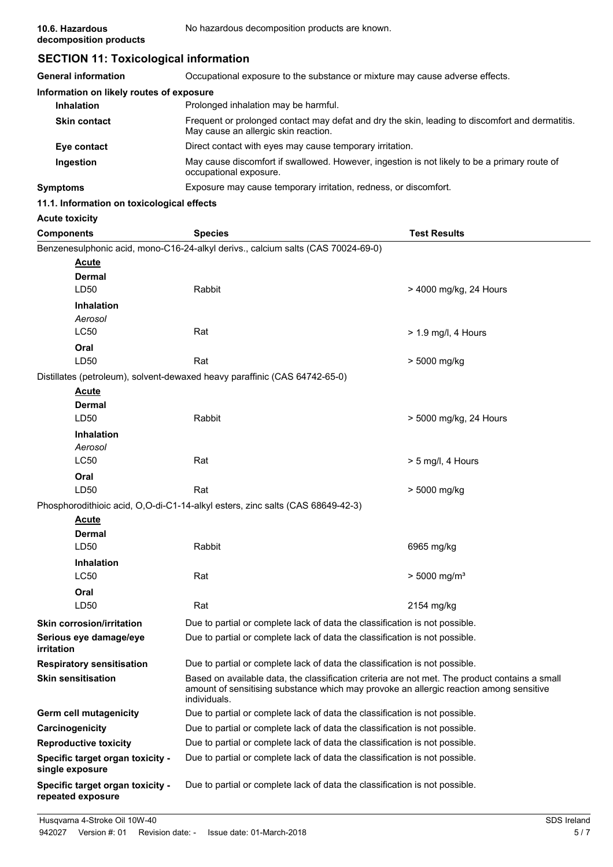# **SECTION 11: Toxicological information**

| <b>General information</b>               | Occupational exposure to the substance or mixture may cause adverse effects.                                                            |
|------------------------------------------|-----------------------------------------------------------------------------------------------------------------------------------------|
| Information on likely routes of exposure |                                                                                                                                         |
| <b>Inhalation</b>                        | Prolonged inhalation may be harmful.                                                                                                    |
| <b>Skin contact</b>                      | Frequent or prolonged contact may defat and dry the skin, leading to discomfort and dermatitis.<br>May cause an allergic skin reaction. |
| Eye contact                              | Direct contact with eyes may cause temporary irritation.                                                                                |
| Ingestion                                | May cause discomfort if swallowed. However, ingestion is not likely to be a primary route of<br>occupational exposure.                  |
| <b>Symptoms</b>                          | Exposure may cause temporary irritation, redness, or discomfort.                                                                        |

#### **11.1. Information on toxicological effects**

| <b>Acute toxicity</b> |
|-----------------------|
|                       |
|                       |

| <b>Components</b>                                     | <b>Species</b>                                                                                                                                                                                           | <b>Test Results</b>        |
|-------------------------------------------------------|----------------------------------------------------------------------------------------------------------------------------------------------------------------------------------------------------------|----------------------------|
|                                                       | Benzenesulphonic acid, mono-C16-24-alkyl derivs., calcium salts (CAS 70024-69-0)                                                                                                                         |                            |
| <u>Acute</u>                                          |                                                                                                                                                                                                          |                            |
| Dermal                                                |                                                                                                                                                                                                          |                            |
| LD50                                                  | Rabbit                                                                                                                                                                                                   | > 4000 mg/kg, 24 Hours     |
| <b>Inhalation</b>                                     |                                                                                                                                                                                                          |                            |
| Aerosol                                               |                                                                                                                                                                                                          |                            |
| <b>LC50</b>                                           | Rat                                                                                                                                                                                                      | > 1.9 mg/l, 4 Hours        |
| Oral                                                  |                                                                                                                                                                                                          |                            |
| LD <sub>50</sub>                                      | Rat                                                                                                                                                                                                      | > 5000 mg/kg               |
|                                                       | Distillates (petroleum), solvent-dewaxed heavy paraffinic (CAS 64742-65-0)                                                                                                                               |                            |
| <u>Acute</u>                                          |                                                                                                                                                                                                          |                            |
| <b>Dermal</b>                                         |                                                                                                                                                                                                          |                            |
| LD50                                                  | Rabbit                                                                                                                                                                                                   | > 5000 mg/kg, 24 Hours     |
| <b>Inhalation</b><br>Aerosol                          |                                                                                                                                                                                                          |                            |
| <b>LC50</b>                                           | Rat                                                                                                                                                                                                      | $> 5$ mg/l, 4 Hours        |
| Oral                                                  |                                                                                                                                                                                                          |                            |
| LD50                                                  | Rat                                                                                                                                                                                                      | > 5000 mg/kg               |
|                                                       | Phosphorodithioic acid, O,O-di-C1-14-alkyl esters, zinc salts (CAS 68649-42-3)                                                                                                                           |                            |
| Acute                                                 |                                                                                                                                                                                                          |                            |
| <b>Dermal</b>                                         |                                                                                                                                                                                                          |                            |
| LD50                                                  | Rabbit                                                                                                                                                                                                   | 6965 mg/kg                 |
| <b>Inhalation</b>                                     |                                                                                                                                                                                                          |                            |
| <b>LC50</b>                                           | Rat                                                                                                                                                                                                      | $> 5000$ mg/m <sup>3</sup> |
| Oral                                                  |                                                                                                                                                                                                          |                            |
| LD50                                                  | Rat                                                                                                                                                                                                      | 2154 mg/kg                 |
| <b>Skin corrosion/irritation</b>                      | Due to partial or complete lack of data the classification is not possible.                                                                                                                              |                            |
| Serious eye damage/eye<br>irritation                  | Due to partial or complete lack of data the classification is not possible.                                                                                                                              |                            |
| <b>Respiratory sensitisation</b>                      | Due to partial or complete lack of data the classification is not possible.                                                                                                                              |                            |
| <b>Skin sensitisation</b>                             | Based on available data, the classification criteria are not met. The product contains a small<br>amount of sensitising substance which may provoke an allergic reaction among sensitive<br>individuals. |                            |
| Germ cell mutagenicity                                | Due to partial or complete lack of data the classification is not possible.                                                                                                                              |                            |
| Carcinogenicity                                       | Due to partial or complete lack of data the classification is not possible.                                                                                                                              |                            |
| <b>Reproductive toxicity</b>                          | Due to partial or complete lack of data the classification is not possible.                                                                                                                              |                            |
| Specific target organ toxicity -<br>single exposure   | Due to partial or complete lack of data the classification is not possible.                                                                                                                              |                            |
| Specific target organ toxicity -<br>repeated exposure | Due to partial or complete lack of data the classification is not possible.                                                                                                                              |                            |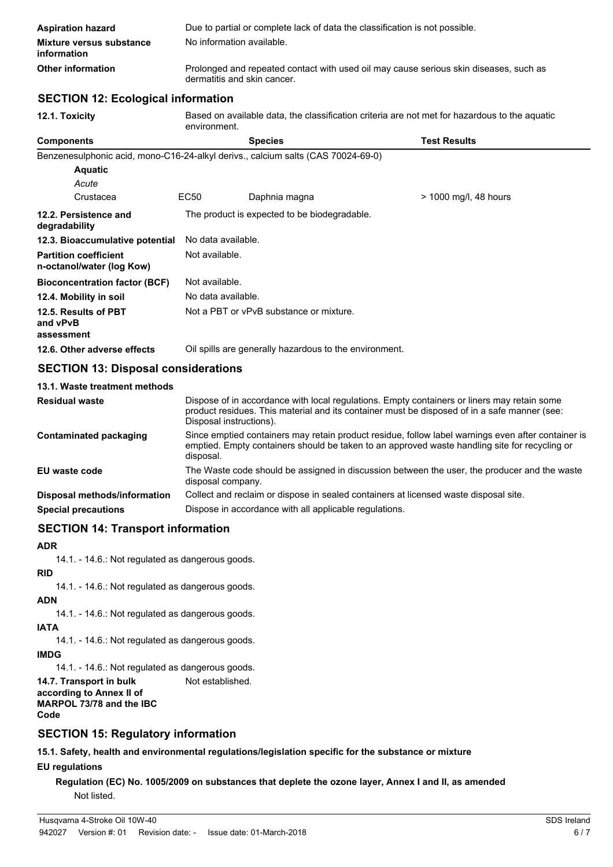| <b>Aspiration hazard</b>                | Due to partial or complete lack of data the classification is not possible.                                          |
|-----------------------------------------|----------------------------------------------------------------------------------------------------------------------|
| Mixture versus substance<br>information | No information available.                                                                                            |
| Other information                       | Prolonged and repeated contact with used oil may cause serious skin diseases, such as<br>dermatitis and skin cancer. |

## **SECTION 12: Ecological information**

| 12.1. Toxicity                                                                   | Based on available data, the classification criteria are not met for hazardous to the aquatic<br>environment.                                                                                                    |                                                                                                                                                                                             |                       |  |
|----------------------------------------------------------------------------------|------------------------------------------------------------------------------------------------------------------------------------------------------------------------------------------------------------------|---------------------------------------------------------------------------------------------------------------------------------------------------------------------------------------------|-----------------------|--|
| <b>Components</b>                                                                |                                                                                                                                                                                                                  | <b>Species</b>                                                                                                                                                                              | <b>Test Results</b>   |  |
| Benzenesulphonic acid, mono-C16-24-alkyl derivs., calcium salts (CAS 70024-69-0) |                                                                                                                                                                                                                  |                                                                                                                                                                                             |                       |  |
| <b>Aquatic</b>                                                                   |                                                                                                                                                                                                                  |                                                                                                                                                                                             |                       |  |
| Acute                                                                            |                                                                                                                                                                                                                  |                                                                                                                                                                                             |                       |  |
| Crustacea                                                                        | EC <sub>50</sub>                                                                                                                                                                                                 | Daphnia magna                                                                                                                                                                               | > 1000 mg/l, 48 hours |  |
| 12.2. Persistence and<br>degradability                                           | The product is expected to be biodegradable.                                                                                                                                                                     |                                                                                                                                                                                             |                       |  |
| 12.3. Bioaccumulative potential                                                  | No data available.                                                                                                                                                                                               |                                                                                                                                                                                             |                       |  |
| <b>Partition coefficient</b><br>n-octanol/water (log Kow)                        | Not available.                                                                                                                                                                                                   |                                                                                                                                                                                             |                       |  |
| <b>Bioconcentration factor (BCF)</b>                                             | Not available.                                                                                                                                                                                                   |                                                                                                                                                                                             |                       |  |
| 12.4. Mobility in soil                                                           |                                                                                                                                                                                                                  | No data available.                                                                                                                                                                          |                       |  |
| 12.5. Results of PBT<br>and vPvB<br>assessment                                   | Not a PBT or vPvB substance or mixture.                                                                                                                                                                          |                                                                                                                                                                                             |                       |  |
| 12.6. Other adverse effects                                                      |                                                                                                                                                                                                                  | Oil spills are generally hazardous to the environment.                                                                                                                                      |                       |  |
| <b>SECTION 13: Disposal considerations</b>                                       |                                                                                                                                                                                                                  |                                                                                                                                                                                             |                       |  |
| 13.1. Waste treatment methods                                                    |                                                                                                                                                                                                                  |                                                                                                                                                                                             |                       |  |
| <b>Residual waste</b>                                                            | Disposal instructions).                                                                                                                                                                                          | Dispose of in accordance with local regulations. Empty containers or liners may retain some<br>product residues. This material and its container must be disposed of in a safe manner (see: |                       |  |
| <b>Contaminated packaging</b>                                                    | Since emptied containers may retain product residue, follow label warnings even after container is<br>emptied. Empty containers should be taken to an approved waste handling site for recycling or<br>disposal. |                                                                                                                                                                                             |                       |  |
| EU waste code                                                                    | The Waste code should be assigned in discussion between the user, the producer and the waste<br>disposal company.                                                                                                |                                                                                                                                                                                             |                       |  |
| Disposal methods/information                                                     |                                                                                                                                                                                                                  | Collect and reclaim or dispose in sealed containers at licensed waste disposal site.                                                                                                        |                       |  |
| <b>Special precautions</b>                                                       | Dispose in accordance with all applicable regulations.                                                                                                                                                           |                                                                                                                                                                                             |                       |  |

## **SECTION 14: Transport information**

## **ADR**

14.1. - 14.6.: Not regulated as dangerous goods.

# **RID**

14.1. - 14.6.: Not regulated as dangerous goods.

## **ADN**

14.1. - 14.6.: Not regulated as dangerous goods.

**IATA**

14.1. - 14.6.: Not regulated as dangerous goods.

**IMDG**

14.1. - 14.6.: Not regulated as dangerous goods.

**14.7. Transport in bulk** Not established. **according to Annex II of**

**MARPOL 73/78 and the IBC Code**

# **SECTION 15: Regulatory information**

**15.1. Safety, health and environmental regulations/legislation specific for the substance or mixture**

## **EU regulations**

**Regulation (EC) No. 1005/2009 on substances that deplete the ozone layer, Annex I and II, as amended** Not listed.